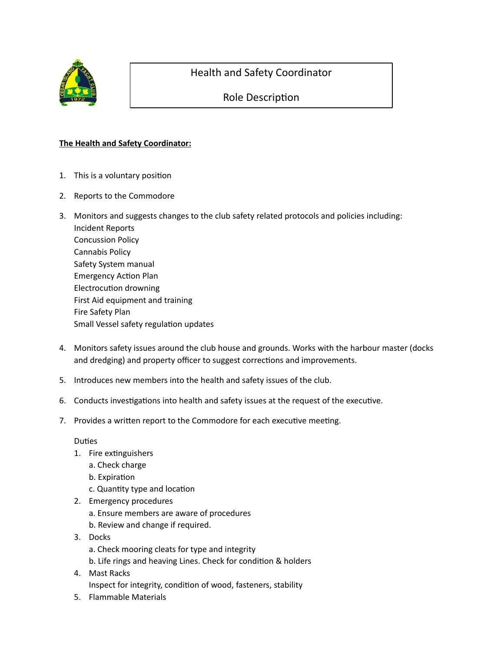

## Health and Safety Coordinator

## Role Description

## **The Health and Safety Coordinator:**

- 1. This is a voluntary position
- 2. Reports to the Commodore
- 3. Monitors and suggests changes to the club safety related protocols and policies including: Incident Reports Concussion Policy Cannabis Policy Safety System manual Emergency Action Plan Electrocution drowning First Aid equipment and training Fire Safety Plan Small Vessel safety regulation updates
- 4. Monitors safety issues around the club house and grounds. Works with the harbour master (docks and dredging) and property officer to suggest corrections and improvements.
- 5. Introduces new members into the health and safety issues of the club.
- 6. Conducts investigations into health and safety issues at the request of the executive.
- 7. Provides a written report to the Commodore for each executive meeting.

## **Duties**

- 1. Fire extinguishers
	- a. Check charge
	- b. Expiration
	- c. Quantity type and location
- 2. Emergency procedures
	- a. Ensure members are aware of procedures
	- b. Review and change if required.
- 3. Docks
	- a. Check mooring cleats for type and integrity
	- b. Life rings and heaving Lines. Check for condition & holders
- 4. Mast Racks Inspect for integrity, condition of wood, fasteners, stability
- 5. Flammable Materials